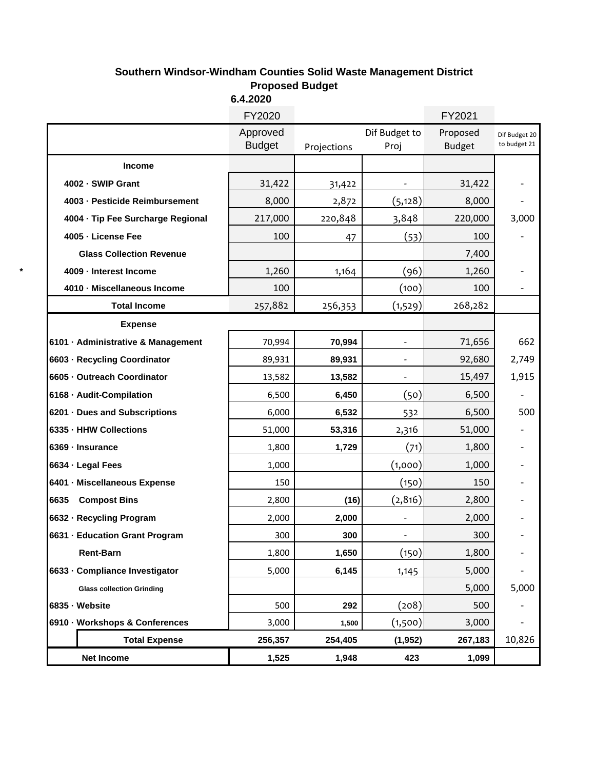## **Southern Windsor-Windham Counties Solid Waste Management District Proposed Budget**

|                                    | 6.4.2020                  |             |                       |                           |                               |
|------------------------------------|---------------------------|-------------|-----------------------|---------------------------|-------------------------------|
|                                    | FY2020                    |             |                       | FY2021                    |                               |
|                                    | Approved<br><b>Budget</b> | Projections | Dif Budget to<br>Proj | Proposed<br><b>Budget</b> | Dif Budget 20<br>to budget 21 |
| <b>Income</b>                      |                           |             |                       |                           |                               |
| 4002 - SWIP Grant                  | 31,422                    | 31,422      |                       | 31,422                    |                               |
| 4003 - Pesticide Reimbursement     | 8,000                     | 2,872       | (5, 128)              | 8,000                     |                               |
| 4004 - Tip Fee Surcharge Regional  | 217,000                   | 220,848     | 3,848                 | 220,000                   | 3,000                         |
| 4005 - License Fee                 | 100                       | 47          | (53)                  | 100                       |                               |
| <b>Glass Collection Revenue</b>    |                           |             |                       | 7,400                     |                               |
| 4009 - Interest Income             | 1,260                     | 1,164       | (96)                  | 1,260                     |                               |
| 4010 - Miscellaneous Income        | 100                       |             | (100)                 | 100                       |                               |
| <b>Total Income</b>                | 257,882                   | 256,353     | (1,529)               | 268,282                   |                               |
| <b>Expense</b>                     |                           |             |                       |                           |                               |
| 6101 · Administrative & Management | 70,994                    | 70,994      |                       | 71,656                    | 662                           |
| 6603 Recycling Coordinator         | 89,931                    | 89,931      |                       | 92,680                    | 2,749                         |
| 6605 Outreach Coordinator          | 13,582                    | 13,582      | $\overline{a}$        | 15,497                    | 1,915                         |
| 6168 Audit-Compilation             | 6,500                     | 6,450       | (50)                  | 6,500                     |                               |
| 6201 Dues and Subscriptions        | 6,000                     | 6,532       | 532                   | 6,500                     | 500                           |
| 6335 - HHW Collections             | 51,000                    | 53,316      | 2,316                 | 51,000                    |                               |
| 6369 - Insurance                   | 1,800                     | 1,729       | (71)                  | 1,800                     |                               |
| 6634 Legal Fees                    | 1,000                     |             | (1,000)               | 1,000                     |                               |
| 6401 - Miscellaneous Expense       | 150                       |             | (150)                 | 150                       |                               |
| 6635<br><b>Compost Bins</b>        | 2,800                     | (16)        | (2, 816)              | 2,800                     |                               |
| 6632 - Recycling Program           | 2,000                     | 2,000       |                       | 2,000                     |                               |
| 6631 Education Grant Program       | 300                       | 300         | $\frac{1}{2}$         | 300                       |                               |
| <b>Rent-Barn</b>                   | 1,800                     | 1,650       | (150)                 | 1,800                     |                               |
| 6633 Compliance Investigator       | 5,000                     | 6,145       | 1,145                 | 5,000                     |                               |
| <b>Glass collection Grinding</b>   |                           |             |                       | 5,000                     | 5,000                         |
| 6835 Website                       | 500                       | 292         | (208)                 | 500                       |                               |
| 6910 - Workshops & Conferences     | 3,000                     | 1,500       | (1,500)               | 3,000                     |                               |
| <b>Total Expense</b>               | 256,357                   | 254,405     | (1, 952)              | 267,183                   | 10,826                        |
| <b>Net Income</b>                  | 1,525                     | 1,948       | 423                   | 1,099                     |                               |